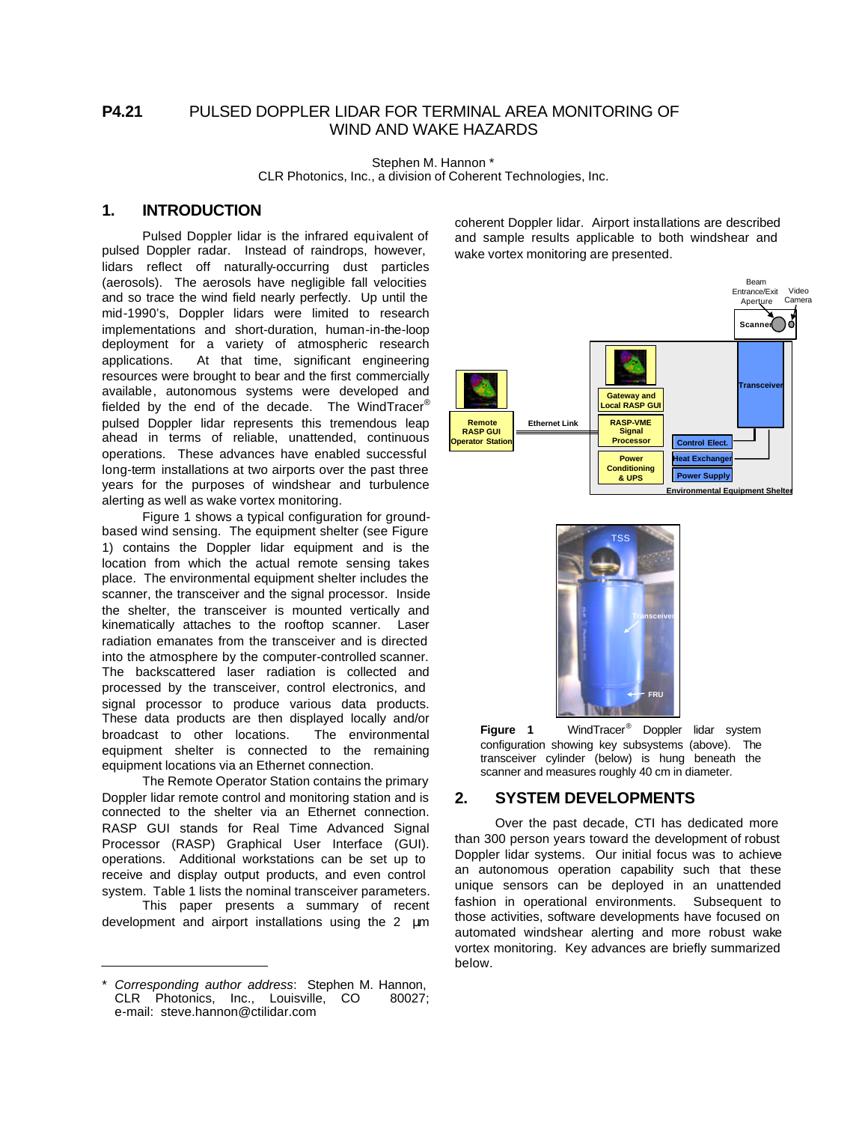# **P4.21** PULSED DOPPLER LIDAR FOR TERMINAL AREA MONITORING OF WIND AND WAKE HAZARDS

Stephen M. Hannon \* CLR Photonics, Inc., a division of Coherent Technologies, Inc.

## **1. INTRODUCTION**

Pulsed Doppler lidar is the infrared equivalent of pulsed Doppler radar. Instead of raindrops, however, lidars reflect off naturally-occurring dust particles (aerosols). The aerosols have negligible fall velocities and so trace the wind field nearly perfectly. Up until the mid-1990's, Doppler lidars were limited to research implementations and short-duration, human-in-the-loop deployment for a variety of atmospheric research applications. At that time, significant engineering resources were brought to bear and the first commercially available, autonomous systems were developed and fielded by the end of the decade. The WindTracer® pulsed Doppler lidar represents this tremendous leap ahead in terms of reliable, unattended, continuous operations. These advances have enabled successful long-term installations at two airports over the past three years for the purposes of windshear and turbulence alerting as well as wake vortex monitoring.

Figure 1 shows a typical configuration for groundbased wind sensing. The equipment shelter (see Figure 1) contains the Doppler lidar equipment and is the location from which the actual remote sensing takes place. The environmental equipment shelter includes the scanner, the transceiver and the signal processor. Inside the shelter, the transceiver is mounted vertically and kinematically attaches to the rooftop scanner. Laser radiation emanates from the transceiver and is directed into the atmosphere by the computer-controlled scanner. The backscattered laser radiation is collected and processed by the transceiver, control electronics, and signal processor to produce various data products. These data products are then displayed locally and/or broadcast to other locations. The environmental equipment shelter is connected to the remaining equipment locations via an Ethernet connection.

The Remote Operator Station contains the primary Doppler lidar remote control and monitoring station and is connected to the shelter via an Ethernet connection. RASP GUI stands for Real Time Advanced Signal Processor (RASP) Graphical User Interface (GUI). operations. Additional workstations can be set up to receive and display output products, and even control system. Table 1 lists the nominal transceiver parameters.

This paper presents a summary of recent development and airport installations using the 2 μm

coherent Doppler lidar. Airport installations are described and sample results applicable to both windshear and wake vortex monitoring are presented.





**Figure 1** WindTracer® Doppler lidar system configuration showing key subsystems (above). The transceiver cylinder (below) is hung beneath the scanner and measures roughly 40 cm in diameter.

### **2. SYSTEM DEVELOPMENTS**

Over the past decade, CTI has dedicated more than 300 person years toward the development of robust Doppler lidar systems. Our initial focus was to achieve an autonomous operation capability such that these unique sensors can be deployed in an unattended fashion in operational environments. Subsequent to those activities, software developments have focused on automated windshear alerting and more robust wake vortex monitoring. Key advances are briefly summarized below.

<sup>\*</sup> *Corresponding author address*: Stephen M. Hannon, CLR Photonics, Inc., Louisville, CO 80027; e-mail: steve.hannon@ctilidar.com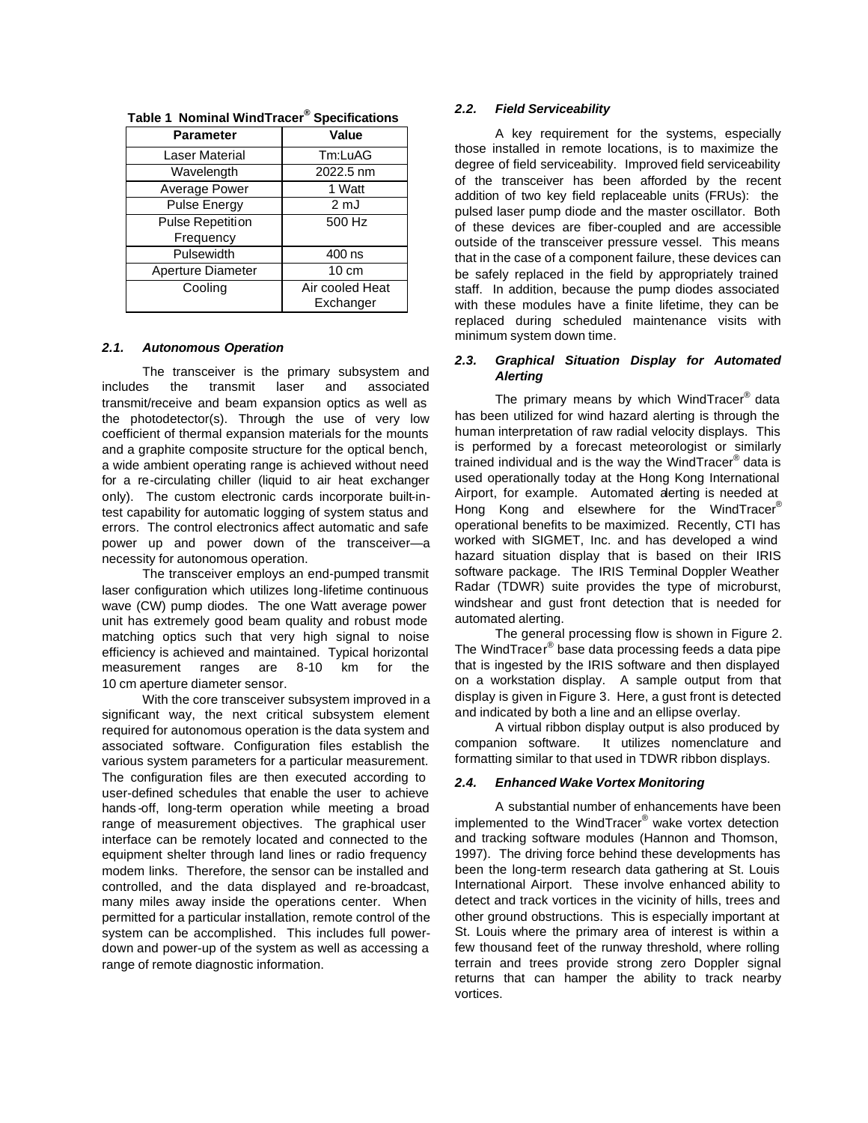| <b>Parameter</b>         | Value           |  |
|--------------------------|-----------------|--|
| Laser Material           | Tm:LuAG         |  |
| Wavelength               | 2022.5 nm       |  |
| Average Power            | 1 Watt          |  |
| <b>Pulse Energy</b>      | 2 mJ            |  |
| Pulse Repetition         | 500 Hz          |  |
| Frequency                |                 |  |
| Pulsewidth               | 400 ns          |  |
| <b>Aperture Diameter</b> | $10 \text{ cm}$ |  |
| Cooling                  | Air cooled Heat |  |
|                          | Exchanger       |  |

|  |  |  | Table 1 Nominal WindTracer <sup>®</sup> Specifications |
|--|--|--|--------------------------------------------------------|
|--|--|--|--------------------------------------------------------|

#### *2.1. Autonomous Operation*

The transceiver is the primary subsystem and includes the transmit laser and associated transmit/receive and beam expansion optics as well as the photodetector(s). Through the use of very low coefficient of thermal expansion materials for the mounts and a graphite composite structure for the optical bench. a wide ambient operating range is achieved without need for a re-circulating chiller (liquid to air heat exchanger only). The custom electronic cards incorporate built-intest capability for automatic logging of system status and errors. The control electronics affect automatic and safe power up and power down of the transceiver—a necessity for autonomous operation.

The transceiver employs an end-pumped transmit laser configuration which utilizes long-lifetime continuous wave (CW) pump diodes. The one Watt average power unit has extremely good beam quality and robust mode matching optics such that very high signal to noise efficiency is achieved and maintained. Typical horizontal measurement ranges are 8-10 km for the 10 cm aperture diameter sensor.

With the core transceiver subsystem improved in a significant way, the next critical subsystem element required for autonomous operation is the data system and associated software. Configuration files establish the various system parameters for a particular measurement. The configuration files are then executed according to user-defined schedules that enable the user to achieve hands off, long-term operation while meeting a broad range of measurement objectives. The graphical user interface can be remotely located and connected to the equipment shelter through land lines or radio frequency modem links. Therefore, the sensor can be installed and controlled, and the data displayed and re-broadcast, many miles away inside the operations center. When permitted for a particular installation, remote control of the system can be accomplished. This includes full powerdown and power-up of the system as well as accessing a range of remote diagnostic information.

#### *2.2. Field Serviceability*

A key requirement for the systems, especially those installed in remote locations, is to maximize the degree of field serviceability. Improved field serviceability of the transceiver has been afforded by the recent addition of two key field replaceable units (FRUs): the pulsed laser pump diode and the master oscillator. Both of these devices are fiber-coupled and are accessible outside of the transceiver pressure vessel. This means that in the case of a component failure, these devices can be safely replaced in the field by appropriately trained staff. In addition, because the pump diodes associated with these modules have a finite lifetime, they can be replaced during scheduled maintenance visits with minimum system down time.

### *2.3. Graphical Situation Display for Automated Alerting*

The primary means by which WindTracer® data has been utilized for wind hazard alerting is through the human interpretation of raw radial velocity displays. This is performed by a forecast meteorologist or similarly trained individual and is the way the WindTracer® data is used operationally today at the Hong Kong International Airport, for example. Automated alerting is needed at Hong Kong and elsewhere for the WindTracer<sup>®</sup> operational benefits to be maximized. Recently, CTI has worked with SIGMET, Inc. and has developed a wind hazard situation display that is based on their IRIS software package. The IRIS Terminal Doppler Weather Radar (TDWR) suite provides the type of microburst, windshear and gust front detection that is needed for automated alerting.

The general processing flow is shown in Figure 2. The WindTracer<sup>®</sup> base data processing feeds a data pipe that is ingested by the IRIS software and then displayed on a workstation display. A sample output from that display is given in Figure 3. Here, a gust front is detected and indicated by both a line and an ellipse overlay.

A virtual ribbon display output is also produced by companion software. It utilizes nomenclature and formatting similar to that used in TDWR ribbon displays.

#### *2.4. Enhanced Wake Vortex Monitoring*

A substantial number of enhancements have been implemented to the WindTracer® wake vortex detection and tracking software modules (Hannon and Thomson, 1997). The driving force behind these developments has been the long-term research data gathering at St. Louis International Airport. These involve enhanced ability to detect and track vortices in the vicinity of hills, trees and other ground obstructions. This is especially important at St. Louis where the primary area of interest is within a few thousand feet of the runway threshold, where rolling terrain and trees provide strong zero Doppler signal returns that can hamper the ability to track nearby vortices.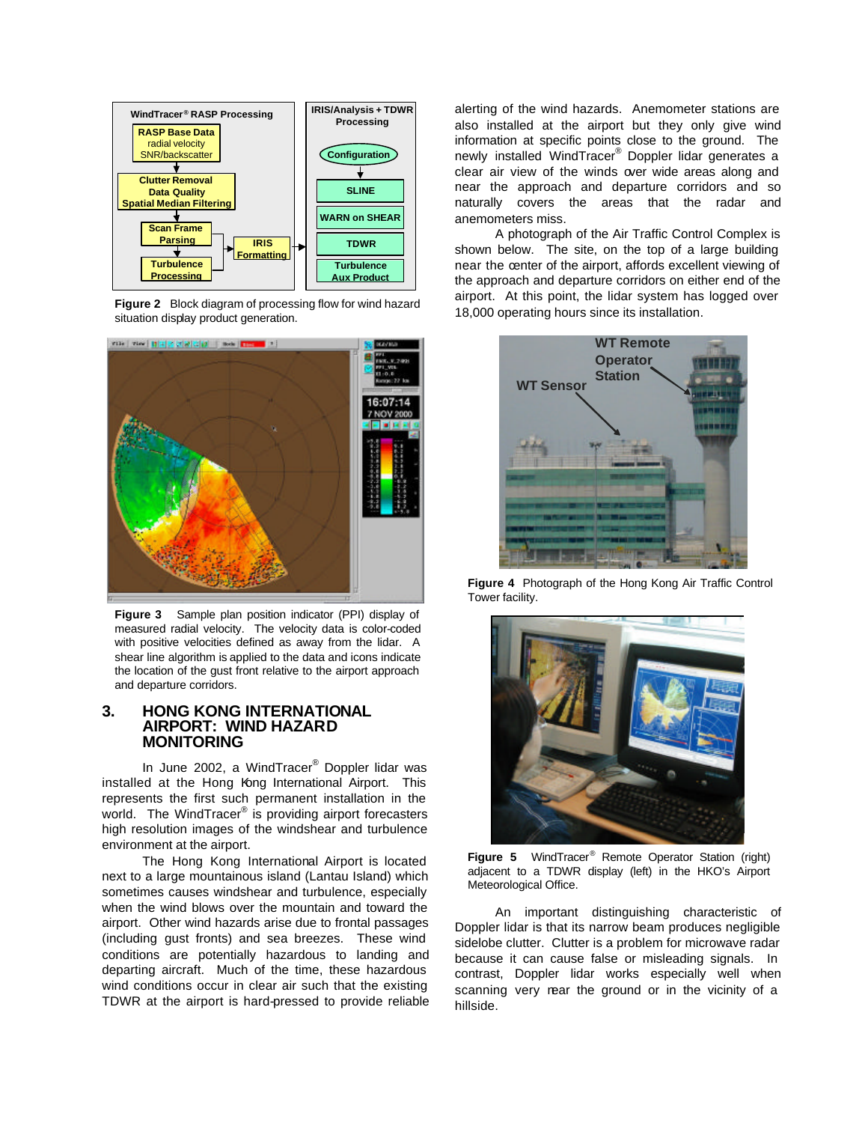

**Figure 2** Block diagram of processing flow for wind hazard situation display product generation.



**Figure 3** Sample plan position indicator (PPI) display of measured radial velocity. The velocity data is color-coded with positive velocities defined as away from the lidar. A shear line algorithm is applied to the data and icons indicate the location of the gust front relative to the airport approach and departure corridors.

## **3. HONG KONG INTERNATIONAL AIRPORT: WIND HAZARD MONITORING**

In June 2002, a WindTracer® Doppler lidar was installed at the Hong Kong International Airport. This represents the first such permanent installation in the world. The WindTracer<sup>®</sup> is providing airport forecasters high resolution images of the windshear and turbulence environment at the airport.

The Hong Kong International Airport is located next to a large mountainous island (Lantau Island) which sometimes causes windshear and turbulence, especially when the wind blows over the mountain and toward the airport. Other wind hazards arise due to frontal passages (including gust fronts) and sea breezes. These wind conditions are potentially hazardous to landing and departing aircraft. Much of the time, these hazardous wind conditions occur in clear air such that the existing TDWR at the airport is hard-pressed to provide reliable alerting of the wind hazards. Anemometer stations are also installed at the airport but they only give wind information at specific points close to the ground. The newly installed WindTracer® Doppler lidar generates a clear air view of the winds over wide areas along and near the approach and departure corridors and so naturally covers the areas that the radar and anemometers miss.

A photograph of the Air Traffic Control Complex is shown below. The site, on the top of a large building near the center of the airport, affords excellent viewing of the approach and departure corridors on either end of the airport. At this point, the lidar system has logged over 18,000 operating hours since its installation.



**Figure 4** Photograph of the Hong Kong Air Traffic Control Tower facility.



**Figure 5** WindTracer® Remote Operator Station (right) adjacent to a TDWR display (left) in the HKO's Airport Meteorological Office.

An important distinguishing characteristic of Doppler lidar is that its narrow beam produces negligible sidelobe clutter. Clutter is a problem for microwave radar because it can cause false or misleading signals. In contrast, Doppler lidar works especially well when scanning very near the ground or in the vicinity of a hillside.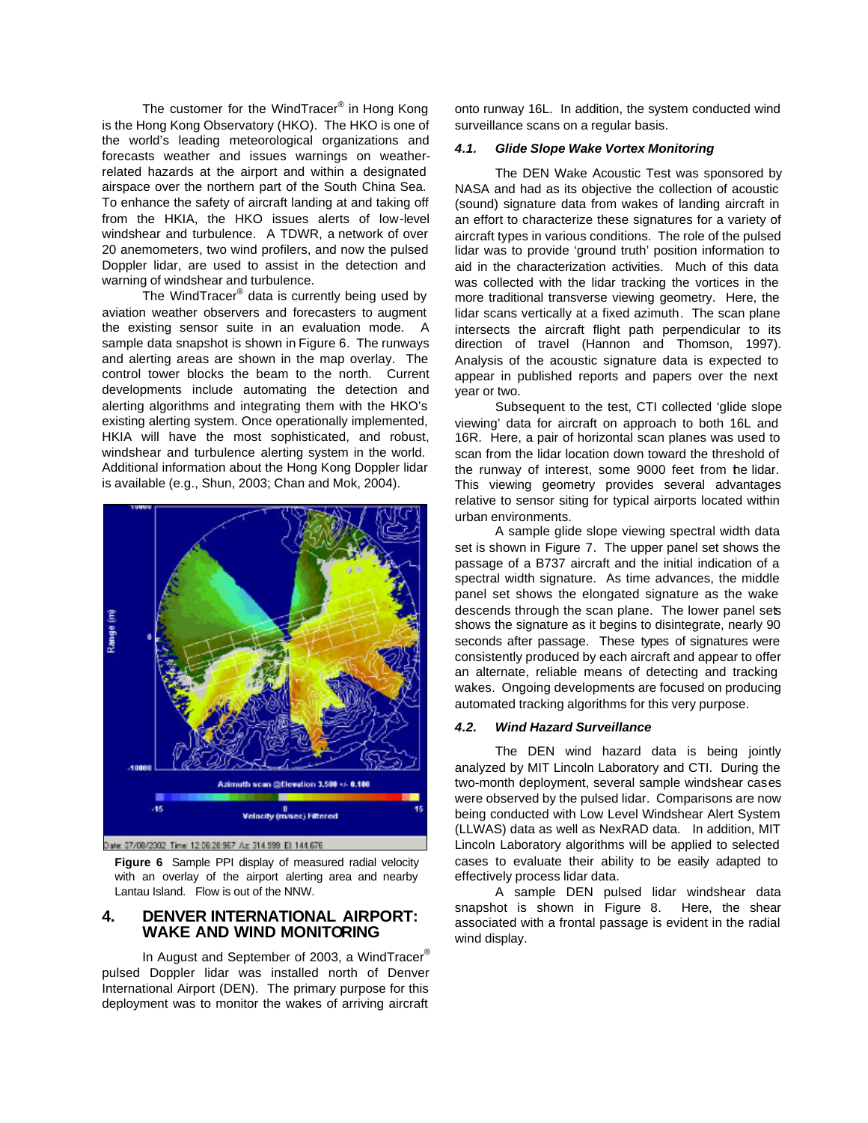The customer for the WindTracer® in Hong Kong is the Hong Kong Observatory (HKO). The HKO is one of the world's leading meteorological organizations and forecasts weather and issues warnings on weatherrelated hazards at the airport and within a designated airspace over the northern part of the South China Sea. To enhance the safety of aircraft landing at and taking off from the HKIA, the HKO issues alerts of low-level windshear and turbulence. A TDWR, a network of over 20 anemometers, two wind profilers, and now the pulsed Doppler lidar, are used to assist in the detection and warning of windshear and turbulence.

The WindTracer® data is currently being used by aviation weather observers and forecasters to augment the existing sensor suite in an evaluation mode. A sample data snapshot is shown in Figure 6. The runways and alerting areas are shown in the map overlay. The control tower blocks the beam to the north. Current developments include automating the detection and alerting algorithms and integrating them with the HKO's existing alerting system. Once operationally implemented, HKIA will have the most sophisticated, and robust, windshear and turbulence alerting system in the world. Additional information about the Hong Kong Doppler lidar is available (e.g., Shun, 2003; Chan and Mok, 2004).



ate: 07/08/2002 Time: 12:06:28:967 Az 314.999 El: 144.676

**Figure 6** Sample PPI display of measured radial velocity with an overlay of the airport alerting area and nearby Lantau Island. Flow is out of the NNW.

### **4. DENVER INTERNATIONAL AIRPORT: WAKE AND WIND MONITORING**

In August and September of 2003, a WindTracer® pulsed Doppler lidar was installed north of Denver International Airport (DEN). The primary purpose for this deployment was to monitor the wakes of arriving aircraft

onto runway 16L. In addition, the system conducted wind surveillance scans on a regular basis.

#### *4.1. Glide Slope Wake Vortex Monitoring*

The DEN Wake Acoustic Test was sponsored by NASA and had as its objective the collection of acoustic (sound) signature data from wakes of landing aircraft in an effort to characterize these signatures for a variety of aircraft types in various conditions. The role of the pulsed lidar was to provide 'ground truth' position information to aid in the characterization activities. Much of this data was collected with the lidar tracking the vortices in the more traditional transverse viewing geometry. Here, the lidar scans vertically at a fixed azimuth. The scan plane intersects the aircraft flight path perpendicular to its direction of travel (Hannon and Thomson, 1997). Analysis of the acoustic signature data is expected to appear in published reports and papers over the next year or two.

Subsequent to the test, CTI collected 'glide slope viewing' data for aircraft on approach to both 16L and 16R. Here, a pair of horizontal scan planes was used to scan from the lidar location down toward the threshold of the runway of interest, some 9000 feet from the lidar. This viewing geometry provides several advantages relative to sensor siting for typical airports located within urban environments.

A sample glide slope viewing spectral width data set is shown in Figure 7. The upper panel set shows the passage of a B737 aircraft and the initial indication of a spectral width signature. As time advances, the middle panel set shows the elongated signature as the wake descends through the scan plane. The lower panel sets shows the signature as it begins to disintegrate, nearly 90 seconds after passage. These types of signatures were consistently produced by each aircraft and appear to offer an alternate, reliable means of detecting and tracking wakes. Ongoing developments are focused on producing automated tracking algorithms for this very purpose.

#### *4.2. Wind Hazard Surveillance*

The DEN wind hazard data is being jointly analyzed by MIT Lincoln Laboratory and CTI. During the two-month deployment, several sample windshear cases were observed by the pulsed lidar. Comparisons are now being conducted with Low Level Windshear Alert System (LLWAS) data as well as NexRAD data. In addition, MIT Lincoln Laboratory algorithms will be applied to selected cases to evaluate their ability to be easily adapted to effectively process lidar data.

A sample DEN pulsed lidar windshear data snapshot is shown in Figure 8. Here, the shear associated with a frontal passage is evident in the radial wind display.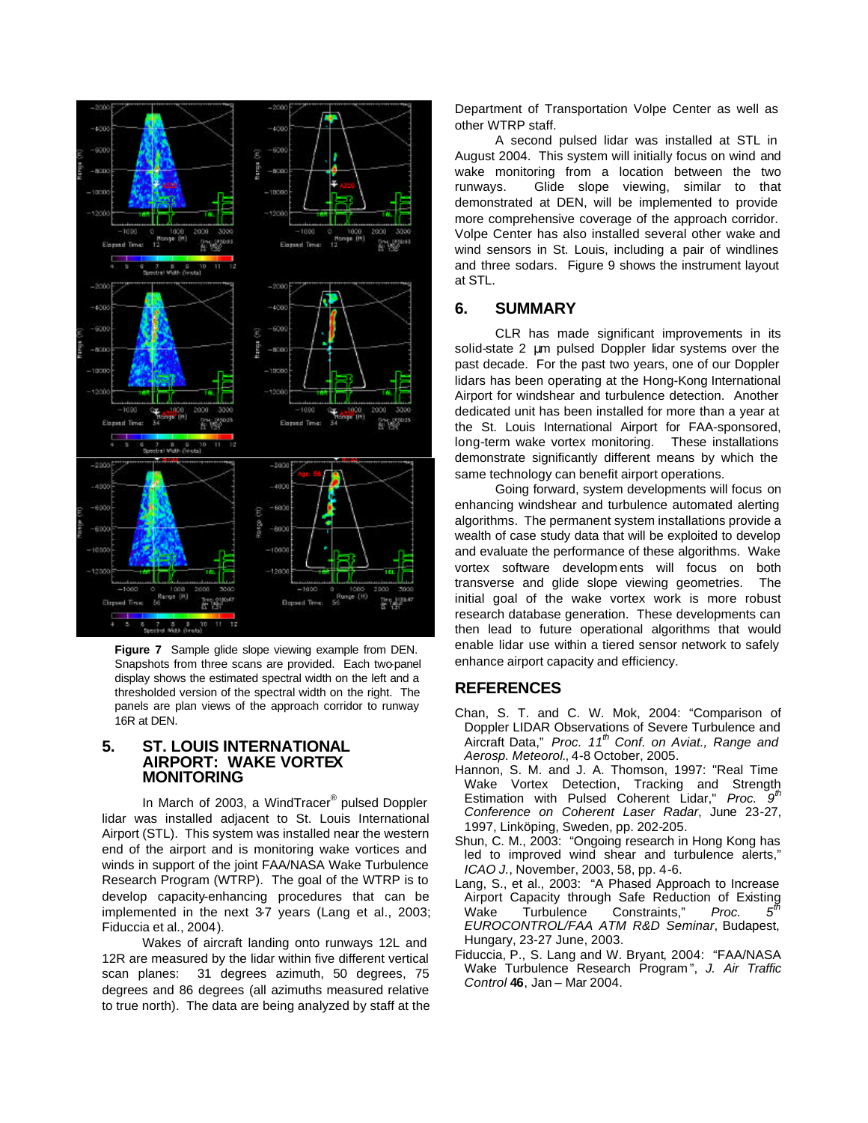

**Figure 7** Sample glide slope viewing example from DEN. Snapshots from three scans are provided. Each two-panel display shows the estimated spectral width on the left and a thresholded version of the spectral width on the right. The panels are plan views of the approach corridor to runway 16R at DEN.

#### **5. ST. LOUIS INTERNATIONAL AIRPORT: WAKE VORTEX MONITORING**

In March of 2003, a WindTracer<sup>®</sup> pulsed Doppler lidar was installed adjacent to St. Louis International Airport (STL). This system was installed near the western end of the airport and is monitoring wake vortices and winds in support of the joint FAA/NASA Wake Turbulence Research Program (WTRP). The goal of the WTRP is to develop capacity-enhancing procedures that can be implemented in the next 3-7 years (Lang et al., 2003; Fiduccia et al., 2004).

Wakes of aircraft landing onto runways 12L and 12R are measured by the lidar within five different vertical scan planes: 31 degrees azimuth, 50 degrees, 75 degrees and 86 degrees (all azimuths measured relative to true north). The data are being analyzed by staff at the

Department of Transportation Volpe Center as well as other WTRP staff.

A second pulsed lidar was installed at STL in August 2004. This system will initially focus on wind and wake monitoring from a location between the two runways. Glide slope viewing, similar to that demonstrated at DEN, will be implemented to provide more comprehensive coverage of the approach corridor. Volpe Center has also installed several other wake and wind sensors in St. Louis, including a pair of windlines and three sodars. Figure 9 shows the instrument layout at STL.

## **6. SUMMARY**

CLR has made significant improvements in its solid-state 2 μm pulsed Doppler lidar systems over the past decade. For the past two years, one of our Doppler lidars has been operating at the Hong-Kong International Airport for windshear and turbulence detection. Another dedicated unit has been installed for more than a year at the St. Louis International Airport for FAA-sponsored, long-term wake vortex monitoring. These installations demonstrate significantly different means by which the same technology can benefit airport operations.

Going forward, system developments will focus on enhancing windshear and turbulence automated alerting algorithms. The permanent system installations provide a wealth of case study data that will be exploited to develop and evaluate the performance of these algorithms. Wake vortex software developm ents will focus on both transverse and glide slope viewing geometries. The initial goal of the wake vortex work is more robust research database generation. These developments can then lead to future operational algorithms that would enable lidar use within a tiered sensor network to safely enhance airport capacity and efficiency.

# **REFERENCES**

- Chan, S. T. and C. W. Mok, 2004: "Comparison of Doppler LIDAR Observations of Severe Turbulence and Aircraft Data," *Proc. 11th Conf. on Aviat., Range and Aerosp. Meteorol.*, 4-8 October, 2005.
- Hannon, S. M. and J. A. Thomson, 1997: "Real Time Wake Vortex Detection, Tracking and Strength Estimation with Pulsed Coherent Lidar," *Proc. 9 th Conference on Coherent Laser Radar*, June 23-27, 1997, Linköping, Sweden, pp. 202-205.
- Shun, C. M., 2003: "Ongoing research in Hong Kong has led to improved wind shear and turbulence alerts," *ICAO J.*, November, 2003, 58, pp. 4-6.
- Lang, S., et al., 2003: "A Phased Approach to Increase Airport Capacity through Safe Reduction of Existing Wake Turbulence Constraints," Proc.  $5^{\rm th}$ *EUROCONTROL/FAA ATM R&D Seminar*, Budapest, Hungary, 23-27 June, 2003.
- Fiduccia, P., S. Lang and W. Bryant, 2004: "FAA/NASA Wake Turbulence Research Program ", *J. Air Traffic Control* **46**, Jan – Mar 2004.